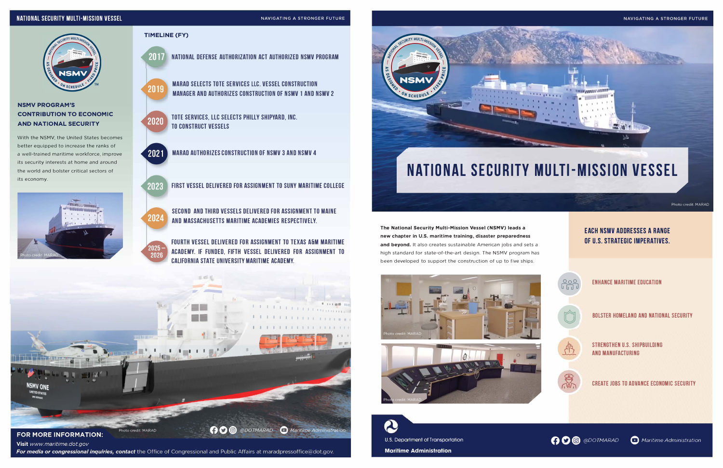## **NATIONAL SECURITY MULTI-MISSION VESSEL NAVIGATING A STRONGER FUTURE**



## **NSMV PROGRAM'S CONTRIBUTION TO ECONOMIC AND NATIONAL SECURITY**

With the NSMV, the United States becomes better equipped to increase the ranks of a well-trained maritime workforce, improve its security interests at home and around the world and bolster critical sectors of its economy.





# **TIMELINE (FY)**

**NATIONAL DEFENSE AUTHORIZATION ACT AUTHORIZED NSMV PROGRAM** 

**MARAD SELECTS TOTE SERVICES LLC. VESSEL CONSTRUCTION MANAGER AND AUTHORIZES CONSTRUCTION OF NSMV 1 AND NSMV 2** 

**TOTE SERVICES, LLC SELECTS PHILLY SHIPYARD, INC.**  2020 **TO CONSTRUCT VESSELS** 



2024

 $2025 -$ 2026

2019

**MARAD AUTHORIZES CONSTRUCTION OF NSMV 3 AND NSMV 4** 



2 U.S. Department of Transportation **Maritime Administration** 

NAVIGATING A STRONGER FUTURE

Photo credit: MARAD

**SECOND AND THIRD VESSELS DELIVERED FOR ASSIGNMENT TO MAINE AND MASSACHUSETTS MARITIME ACADEMIES RESPECTIVELY.**

**FOURTH VESSEL DELIVERED FOR ASSIGNMENT TO TEXAS A&M MARITIME ACADEMY. IF FUNDED, FIFTH VESSEL DELIVERED FOR ASSIGNMENT TO CALIFORNIA STATE UNIVERSITY MARITIME ACADEMY.** 



For media or congressional inquiries, contact the Office of Congressional and Public Affairs at maradpressoffice@dot.gov.



The National Security Multi-Mission Vessel **(NSMV)** leads a new chapter in U.S. maritime training, disaster preparedness and beyond. It also creates sustainable American jobs and sets a high standard for state-of-the-art design. The NSMV program has been developed to support the construction of up to five ships.





**ENHANCE MARITIME EDUCATION** 



**BOLSTER HOMELAND AND NATIONAL SECURITY** 



**STRENGTHEN U.S. SHIPBUILDING AND MANUFACTURING** 



**CREATE JOBS TO ADVANCE ECONOMIC SECURITY**